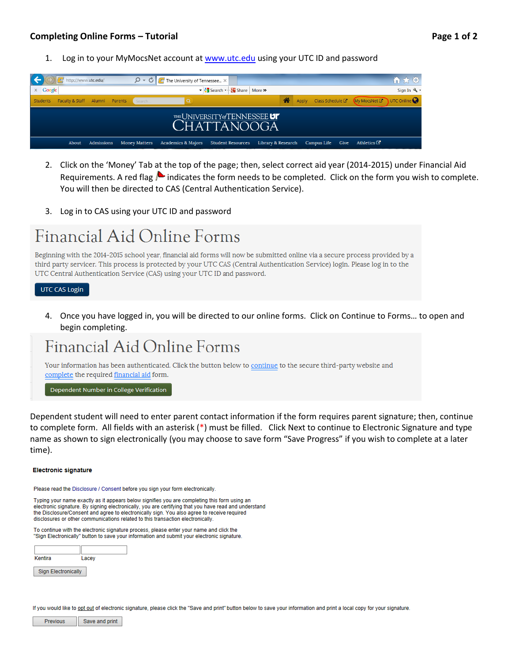1. Log in to your MyMocsNet account at [www.utc.edu](http://www.utc.edu/) using your UTC ID and password

|                 | http://www.utc.edu/            |                      | $\mathcal{Q} \times \mathbf{C}$ <b>C</b> The University of Tennessee $\times$ |                                               |                    |                  |                          | 价太多                                                           |
|-----------------|--------------------------------|----------------------|-------------------------------------------------------------------------------|-----------------------------------------------|--------------------|------------------|--------------------------|---------------------------------------------------------------|
| $\times$ Google |                                |                      |                                                                               | ▼ Search - Nore >                             |                    |                  |                          | Sign In & -                                                   |
| <b>Students</b> | Faculty & Staff Alumni Parents | Search               |                                                                               |                                               |                    |                  |                          | Apply Class Schedule $G$ My MocsNet $G$ UTC Online $\bigcirc$ |
|                 |                                |                      |                                                                               | THE UNIVERSITY of TENNESSEE UT<br>CHATTANOOGA |                    |                  |                          |                                                               |
| About           | Admissions                     | <b>Money Matters</b> | <b>Academics &amp; Majors</b>                                                 | <b>Student Resources</b>                      | Library & Research | Campus Life Give | Athletics $\mathbb{C}^n$ |                                                               |

- 2. Click on the 'Money' Tab at the top of the page; then, select correct aid year (2014-2015) under Financial Aid Requirements. A red flag  $\blacktriangle$  indicates the form needs to be completed. Click on the form you wish to complete. You will then be directed to CAS (Central Authentication Service).
- 3. Log in to CAS using your UTC ID and password

# Financial Aid Online Forms

Beginning with the 2014-2015 school year, financial aid forms will now be submitted online via a secure process provided by a third party servicer. This process is protected by your UTC CAS (Central Authentication Service) login. Please log in to the UTC Central Authentication Service (CAS) using your UTC ID and password.

#### **UTC CAS Login**

4. Once you have logged in, you will be directed to our online forms. Click on Continue to Forms… to open and begin completing.

# Financial Aid Online Forms

Your information has been authenticated. Click the button below to continue to the secure third-party website and complete the required financial aid form.

Dependent Number in College Verification

Dependent student will need to enter parent contact information if the form requires parent signature; then, continue to complete form. All fields with an asterisk (\*) must be filled. Click Next to continue to Electronic Signature and type name as shown to sign electronically (you may choose to save form "Save Progress" if you wish to complete at a later time).

#### **Electronic signature**

Please read the Disclosure / Consent before you sign your form electronically.

Typing your name exactly as it appears below signifies you are completing this form using an electronic signature. By signing electronically, you are certifying that you have read and understand the Disclosure/Consent and agree to electronically sign. You also agree to receive required disclosures or other communications related to this transaction electronically

To continue with the electronic signature process, please enter your name and click the "Sign Electronically" button to save your information and submit your electronic signature.

| Kentira                    | Lacey |  |
|----------------------------|-------|--|
| <b>Sign Electronically</b> |       |  |

If you would like to opt out of electronic signature, please click the "Save and print" button below to save your information and print a local copy for your signature.

**Previous** Save and print